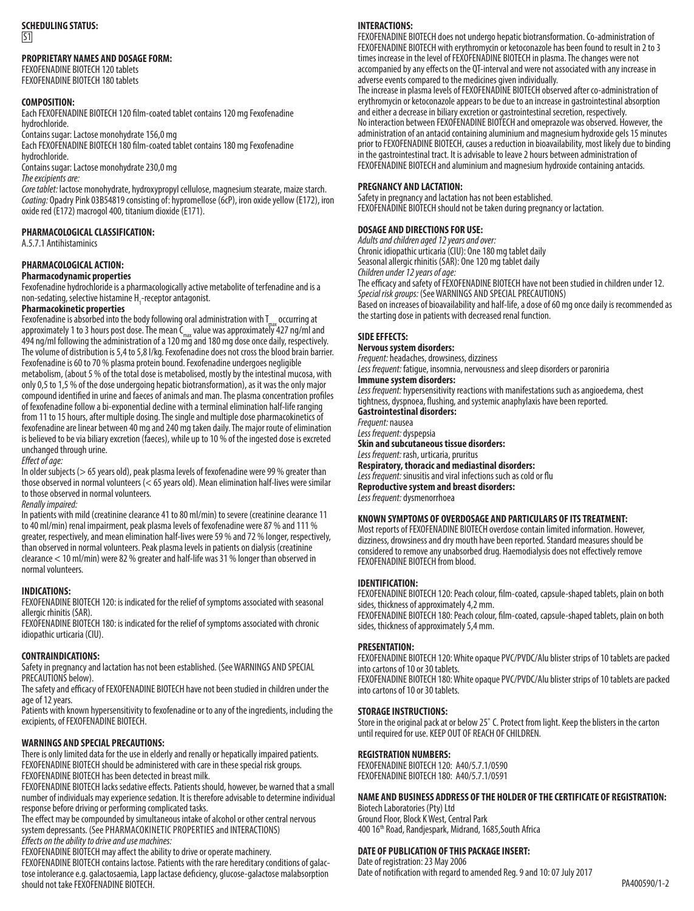## **SCHEDULING STATUS:**   $\overline{51}$

## **PROPRIETARY NAMES AND DOSAGE FORM:**

FEXOFENADINE BIOTECH 120 tablets FEXOFENADINE BIOTECH 180 tablets

#### **COMPOSITION:**

Each FEXOFENADINE BIOTECH 120 film-coated tablet contains 120 mg Fexofenadine hydrochloride.

Contains sugar: Lactose monohydrate 156,0 mg Each FEXOFENADINE BIOTECH 180 film-coated tablet contains 180 mg Fexofenadine hydrochloride.

Contains sugar: Lactose monohydrate 230,0 mg *The excipients are:*

*Core tablet:* lactose monohydrate, hydroxypropyl cellulose, magnesium stearate, maize starch. *Coating:* Opadry Pink 03B54819 consisting of: hypromellose (6cP), iron oxide yellow (E172), iron oxide red (E172) macrogol 400, titanium dioxide (E171).

## **PHARMACOLOGICAL CLASSIFICATION:**

A.5.7.1 Antihistaminics

## **PHARMACOLOGICAL ACTION:**

#### **Pharmacodynamic properties**

Fexofenadine hydrochloride is a pharmacologically active metabolite of terfenadine and is a non-sedating, selective histamine H<sub>1</sub>-receptor antagonist.

### **Pharmacokinetic properties**

Fexofenadine is absorbed into the body following oral administration with  $T_{\text{max}}$  occurring at approximately 1 to 3 hours post dose. The mean  $\tilde{C}_{\text{max}}$  value was approximately 427 ng/ml and 494 ng/ml following the administration of a 120 mg and 180 mg dose once daily, respectively. The volume of distribution is 5,4 to 5,8 l/kg. Fexofenadine does not cross the blood brain barrier. Fexofenadine is 60 to 70 % plasma protein bound. Fexofenadine undergoes negligible metabolism, (about 5 % of the total dose is metabolised, mostly by the intestinal mucosa, with only 0,5 to 1,5 % of the dose undergoing hepatic biotransformation), as it was the only major compound identified in urine and faeces of animals and man. The plasma concentration profiles of fexofenadine follow a bi-exponential decline with a terminal elimination half-life ranging from 11 to 15 hours, after multiple dosing. The single and multiple dose pharmacokinetics of fexofenadine are linear between 40 mg and 240 mg taken daily. The major route of elimination is believed to be via biliary excretion (faeces), while up to 10 % of the ingested dose is excreted unchanged through urine.

*Effect of age:*

In older subjects (> 65 years old), peak plasma levels of fexofenadine were 99 % greater than those observed in normal volunteers (< 65 years old). Mean elimination half-lives were similar to those observed in normal volunteers.

#### *Renally impaired:*

In patients with mild (creatinine clearance 41 to 80 ml/min) to severe (creatinine clearance 11 to 40 ml/min) renal impairment, peak plasma levels of fexofenadine were 87 % and 111 % greater, respectively, and mean elimination half-lives were 59 % and 72 % longer, respectively, than observed in normal volunteers. Peak plasma levels in patients on dialysis (creatinine clearance < 10 ml/min) were 82 % greater and half-life was 31 % longer than observed in normal volunteers.

## **INDICATIONS:**

FEXOFENADINE BIOTECH 120: is indicated for the relief of symptoms associated with seasonal allergic rhinitis (SAR).

FEXOFENADINE BIOTECH 180: is indicated for the relief of symptoms associated with chronic idiopathic urticaria (CIU).

#### **CONTRAINDICATIONS:**

Safety in pregnancy and lactation has not been established. (See WARNINGS AND SPECIAL PRECAUTIONS below).

The safety and efficacy of FEXOFENADINE BIOTECH have not been studied in children under the age of 12 years.

Patients with known hypersensitivity to fexofenadine or to any of the ingredients, including the excipients, of FEXOFENADINE BIOTECH.

#### **WARNINGS AND SPECIAL PRECAUTIONS:**

There is only limited data for the use in elderly and renally or hepatically impaired patients. FEXOFENADINE BIOTECH should be administered with care in these special risk groups. FEXOFENADINE BIOTECH has been detected in breast milk.

FEXOFENADINE BIOTECH lacks sedative effects. Patients should, however, be warned that a small number of individuals may experience sedation. It is therefore advisable to determine individual response before driving or performing complicated tasks.

The effect may be compounded by simultaneous intake of alcohol or other central nervous system depressants. (See PHARMACOKINETIC PROPERTIES and INTERACTIONS) *Effects on the ability to drive and use machines:*

FEXOFENADINE BIOTECH may affect the ability to drive or operate machinery.

FEXOFENADINE BIOTECH contains lactose. Patients with the rare hereditary conditions of galactose intolerance e.g. galactosaemia, Lapp lactase deficiency, glucose-galactose malabsorption should not take FEXOFENADINE BIOTECH.

#### **INTERACTIONS:**

FEXOFENADINE BIOTECH does not undergo hepatic biotransformation. Co-administration of FEXOFENADINE BIOTECH with erythromycin or ketoconazole has been found to result in 2 to 3 times increase in the level of FEXOFENADINE BIOTECH in plasma. The changes were not accompanied by any effects on the QT-interval and were not associated with any increase in adverse events compared to the medicines given individually.

The increase in plasma levels of FEXOFENADINE BIOTECH observed after co-administration of erythromycin or ketoconazole appears to be due to an increase in gastrointestinal absorption and either a decrease in biliary excretion or gastrointestinal secretion, respectively. No interaction between FEXOFENADINE BIOTECH and omeprazole was observed. However, the administration of an antacid containing aluminium and magnesium hydroxide gels 15 minutes prior to FEXOFENADINE BIOTECH, causes a reduction in bioavailability, most likely due to binding in the gastrointestinal tract. It is advisable to leave 2 hours between administration of FEXOFENADINE BIOTECH and aluminium and magnesium hydroxide containing antacids.

## **PREGNANCY AND LACTATION:**

Safety in pregnancy and lactation has not been established. FEXOFENADINE BIOTECH should not be taken during pregnancy or lactation.

## **DOSAGE AND DIRECTIONS FOR USE:**

*Adults and children aged 12 years and over:* Chronic idiopathic urticaria (CIU): One 180 mg tablet daily Seasonal allergic rhinitis (SAR): One 120 mg tablet daily *Children under 12 years of age:* The efficacy and safety of FEXOFENADINE BIOTECH have not been studied in children under 12. *Special risk groups:* (See WARNINGS AND SPECIAL PRECAUTIONS) Based on increases of bioavailability and half-life, a dose of 60 mg once daily is recommended as the starting dose in patients with decreased renal function.

#### **SIDE EFFECTS:**

**Nervous system disorders:**

*Frequent:* headaches, drowsiness, dizziness *Less frequent:* fatigue, insomnia, nervousness and sleep disorders or paroniria **Immune system disorders:**

*Less frequent:* hypersensitivity reactions with manifestations such as angioedema, chest tightness, dyspnoea, flushing, and systemic anaphylaxis have been reported.

**Gastrointestinal disorders:**<br>Frequent: nausea *Less frequent:* dyspepsia **Skin and subcutaneous tissue disorders:** *Less frequent:* rash, urticaria, pruritus

**Respiratory, thoracic and mediastinal disorders:** *Less frequent:* sinusitis and viral infections such as cold or flu

**Reproductive system and breast disorders:** *Less frequent:* dysmenorrhoea

## **KNOWN SYMPTOMS OF OVERDOSAGE AND PARTICULARS OF ITS TREATMENT:**

Most reports of FEXOFENADINE BIOTECH overdose contain limited information. However, dizziness, drowsiness and dry mouth have been reported. Standard measures should be considered to remove any unabsorbed drug. Haemodialysis does not effectively remove FEXOFENADINE BIOTECH from blood.

#### **IDENTIFICATION:**

FEXOFENADINE BIOTECH 120: Peach colour, film-coated, capsule-shaped tablets, plain on both sides, thickness of approximately 4,2 mm.

FEXOFENADINE BIOTECH 180: Peach colour, film-coated, capsule-shaped tablets, plain on both sides, thickness of approximately 5,4 mm.

## **PRESENTATION:**

FEXOFENADINE BIOTECH 120: White opaque PVC/PVDC/Alu blister strips of 10 tablets are packed into cartons of 10 or 30 tablets. FEXOFENADINE BIOTECH 180: White opaque PVC/PVDC/Alu blister strips of 10 tablets are packed into cartons of 10 or 30 tablets.

#### **STORAGE INSTRUCTIONS:**

Store in the original pack at or below 25˚ C. Protect from light. Keep the blisters in the carton until required for use. KEEP OUT OF REACH OF CHILDREN.

## **REGISTRATION NUMBERS:**

FEXOFENADINE BIOTECH 120: A40/5.7.1/0590 FEXOFENADINE BIOTECH 180: A40/5.7.1/0591

# **NAME AND BUSINESS ADDRESS OF THE HOLDER OF THE CERTIFICATE OF REGISTRATION:**

Biotech Laboratories (Pty) Ltd Ground Floor, Block K West, Central Park 400 16th Road, Randjespark, Midrand, 1685,South Africa

## **DATE OF PUBLICATION OF THIS PACKAGE INSERT:**

Date of registration: 23 May 2006 Date of notification with regard to amended Reg. 9 and 10: 07 July 2017 PA400590/1-2